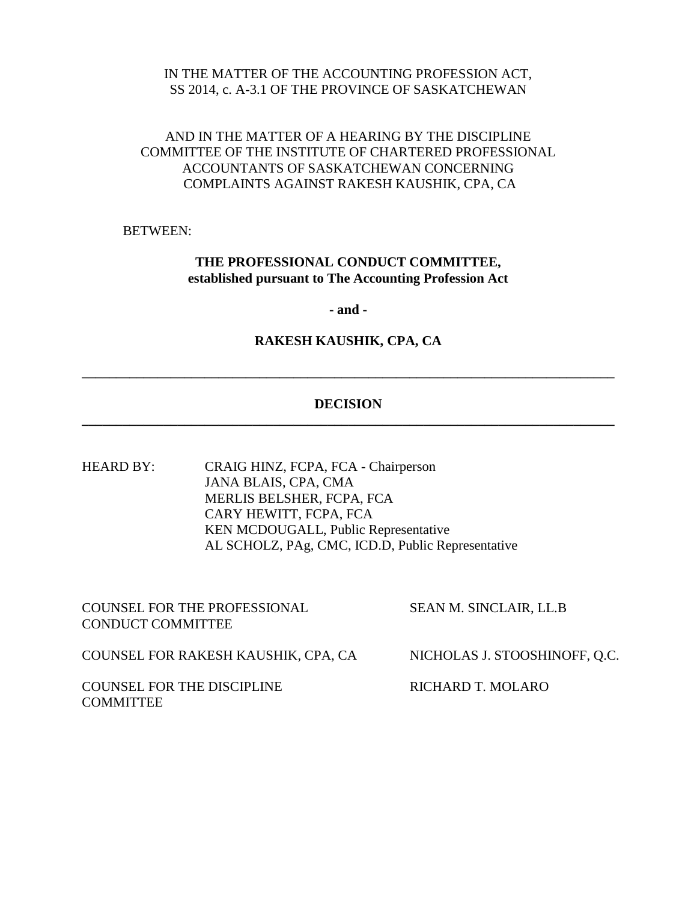#### IN THE MATTER OF THE ACCOUNTING PROFESSION ACT, SS 2014, c. A-3.1 OF THE PROVINCE OF SASKATCHEWAN

# AND IN THE MATTER OF A HEARING BY THE DISCIPLINE COMMITTEE OF THE INSTITUTE OF CHARTERED PROFESSIONAL ACCOUNTANTS OF SASKATCHEWAN CONCERNING COMPLAINTS AGAINST RAKESH KAUSHIK, CPA, CA

BETWEEN:

# **THE PROFESSIONAL CONDUCT COMMITTEE, established pursuant to The Accounting Profession Act**

**- and -**

#### **RAKESH KAUSHIK, CPA, CA**

**\_\_\_\_\_\_\_\_\_\_\_\_\_\_\_\_\_\_\_\_\_\_\_\_\_\_\_\_\_\_\_\_\_\_\_\_\_\_\_\_\_\_\_\_\_\_\_\_\_\_\_\_\_\_\_\_\_\_\_\_\_\_\_\_\_\_\_\_\_\_\_\_\_\_\_\_\_\_**

## **DECISION \_\_\_\_\_\_\_\_\_\_\_\_\_\_\_\_\_\_\_\_\_\_\_\_\_\_\_\_\_\_\_\_\_\_\_\_\_\_\_\_\_\_\_\_\_\_\_\_\_\_\_\_\_\_\_\_\_\_\_\_\_\_\_\_\_\_\_\_\_\_\_\_\_\_\_\_\_\_**

HEARD BY: CRAIG HINZ, FCPA, FCA - Chairperson JANA BLAIS, CPA, CMA MERLIS BELSHER, FCPA, FCA CARY HEWITT, FCPA, FCA KEN MCDOUGALL, Public Representative AL SCHOLZ, PAg, CMC, ICD.D, Public Representative

| <b>COUNSEL FOR THE PROFESSIONAL</b><br><b>CONDUCT COMMITTEE</b> | <b>SEAN M. SINCLAIR, LL.B</b> |
|-----------------------------------------------------------------|-------------------------------|
| COUNSEL FOR RAKESH KAUSHIK, CPA, CA                             | NICHOLAS J. STOOSHINOFF, Q.C. |
| <b>COUNSEL FOR THE DISCIPLINE</b><br><b>COMMITTEE</b>           | RICHARD T. MOLARO             |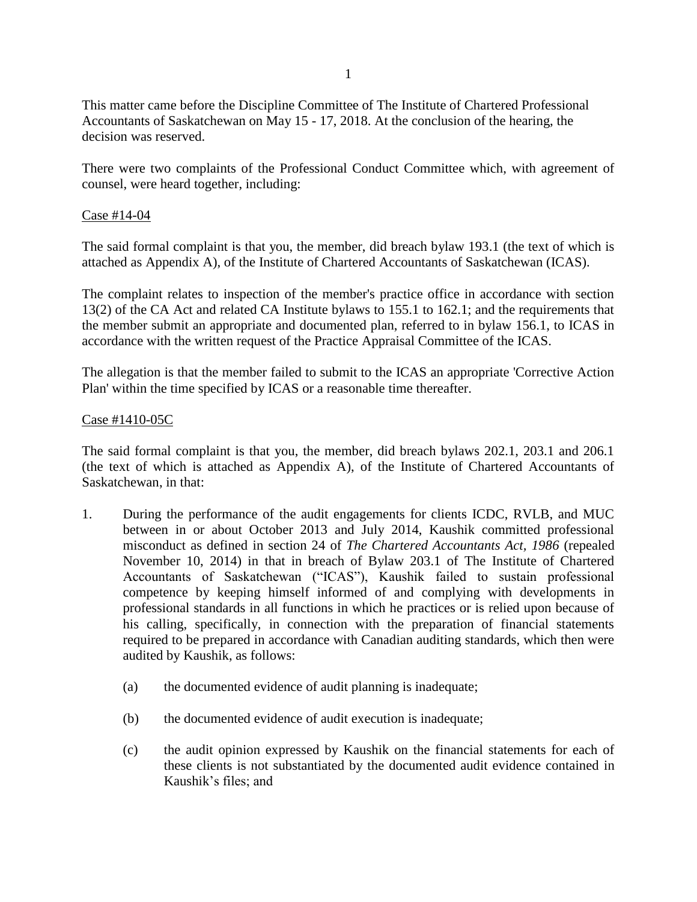This matter came before the Discipline Committee of The Institute of Chartered Professional Accountants of Saskatchewan on May 15 - 17, 2018. At the conclusion of the hearing, the decision was reserved.

There were two complaints of the Professional Conduct Committee which, with agreement of counsel, were heard together, including:

#### Case #14-04

The said formal complaint is that you, the member, did breach bylaw 193.1 (the text of which is attached as Appendix A), of the Institute of Chartered Accountants of Saskatchewan (ICAS).

The complaint relates to inspection of the member's practice office in accordance with section 13(2) of the CA Act and related CA Institute bylaws to 155.1 to 162.1; and the requirements that the member submit an appropriate and documented plan, referred to in bylaw 156.1, to ICAS in accordance with the written request of the Practice Appraisal Committee of the ICAS.

The allegation is that the member failed to submit to the ICAS an appropriate 'Corrective Action Plan' within the time specified by ICAS or a reasonable time thereafter.

#### Case #1410-05C

The said formal complaint is that you, the member, did breach bylaws 202.1, 203.1 and 206.1 (the text of which is attached as Appendix A), of the Institute of Chartered Accountants of Saskatchewan, in that:

- 1. During the performance of the audit engagements for clients ICDC, RVLB, and MUC between in or about October 2013 and July 2014, Kaushik committed professional misconduct as defined in section 24 of *The Chartered Accountants Act, 1986* (repealed November 10, 2014) in that in breach of Bylaw 203.1 of The Institute of Chartered Accountants of Saskatchewan ("ICAS"), Kaushik failed to sustain professional competence by keeping himself informed of and complying with developments in professional standards in all functions in which he practices or is relied upon because of his calling, specifically, in connection with the preparation of financial statements required to be prepared in accordance with Canadian auditing standards, which then were audited by Kaushik, as follows:
	- (a) the documented evidence of audit planning is inadequate;
	- (b) the documented evidence of audit execution is inadequate;
	- (c) the audit opinion expressed by Kaushik on the financial statements for each of these clients is not substantiated by the documented audit evidence contained in Kaushik's files; and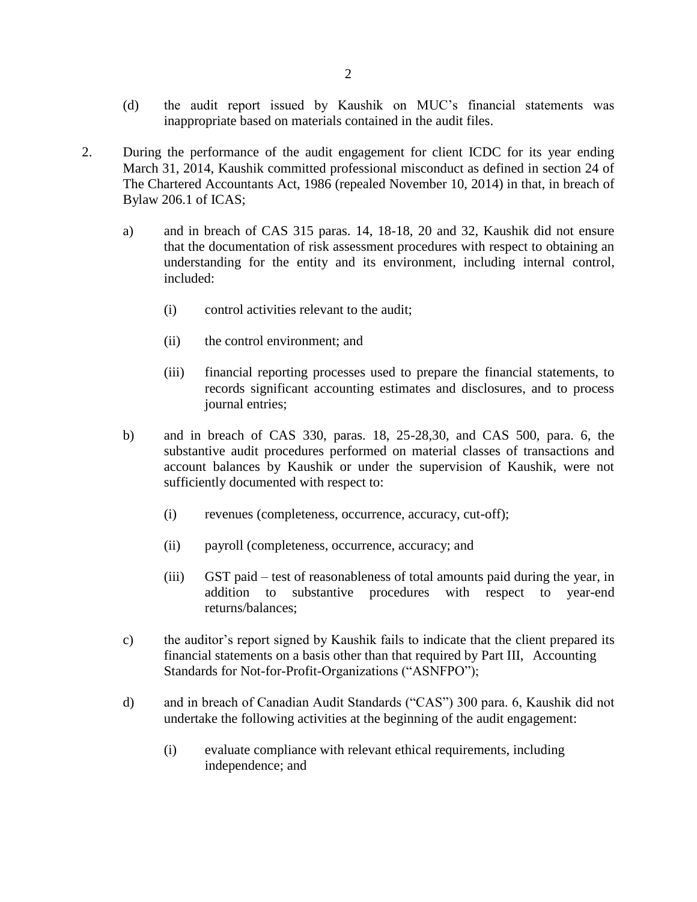- (d) the audit report issued by Kaushik on MUC's financial statements was inappropriate based on materials contained in the audit files.
- 2. During the performance of the audit engagement for client ICDC for its year ending March 31, 2014, Kaushik committed professional misconduct as defined in section 24 of The Chartered Accountants Act, 1986 (repealed November 10, 2014) in that, in breach of Bylaw 206.1 of ICAS;
	- a) and in breach of CAS 315 paras. 14, 18-18, 20 and 32, Kaushik did not ensure that the documentation of risk assessment procedures with respect to obtaining an understanding for the entity and its environment, including internal control, included:
		- (i) control activities relevant to the audit;
		- (ii) the control environment; and
		- (iii) financial reporting processes used to prepare the financial statements, to records significant accounting estimates and disclosures, and to process journal entries;
	- b) and in breach of CAS 330, paras. 18, 25-28,30, and CAS 500, para. 6, the substantive audit procedures performed on material classes of transactions and account balances by Kaushik or under the supervision of Kaushik, were not sufficiently documented with respect to:
		- (i) revenues (completeness, occurrence, accuracy, cut-off);
		- (ii) payroll (completeness, occurrence, accuracy; and
		- (iii) GST paid test of reasonableness of total amounts paid during the year, in addition to substantive procedures with respect to year-end returns/balances;
	- c) the auditor's report signed by Kaushik fails to indicate that the client prepared its financial statements on a basis other than that required by Part III, Accounting Standards for Not-for-Profit-Organizations ("ASNFPO");
	- d) and in breach of Canadian Audit Standards ("CAS") 300 para. 6, Kaushik did not undertake the following activities at the beginning of the audit engagement:
		- (i) evaluate compliance with relevant ethical requirements, including independence; and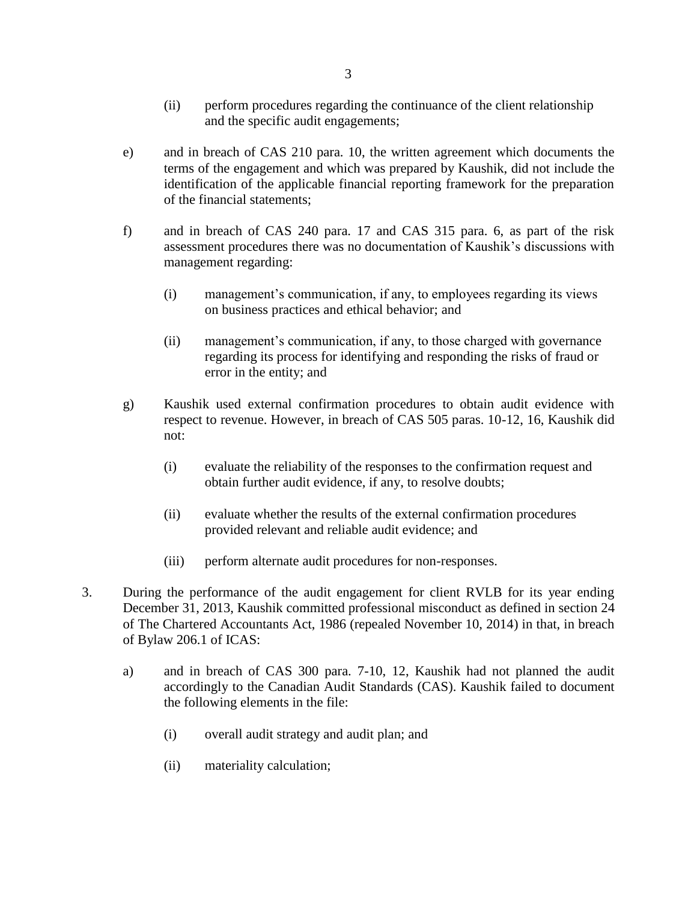- (ii) perform procedures regarding the continuance of the client relationship and the specific audit engagements;
- e) and in breach of CAS 210 para. 10, the written agreement which documents the terms of the engagement and which was prepared by Kaushik, did not include the identification of the applicable financial reporting framework for the preparation of the financial statements;
- f) and in breach of CAS 240 para. 17 and CAS 315 para. 6, as part of the risk assessment procedures there was no documentation of Kaushik's discussions with management regarding:
	- (i) management's communication, if any, to employees regarding its views on business practices and ethical behavior; and
	- (ii) management's communication, if any, to those charged with governance regarding its process for identifying and responding the risks of fraud or error in the entity; and
- g) Kaushik used external confirmation procedures to obtain audit evidence with respect to revenue. However, in breach of CAS 505 paras. 10-12, 16, Kaushik did not:
	- (i) evaluate the reliability of the responses to the confirmation request and obtain further audit evidence, if any, to resolve doubts;
	- (ii) evaluate whether the results of the external confirmation procedures provided relevant and reliable audit evidence; and
	- (iii) perform alternate audit procedures for non-responses.
- 3. During the performance of the audit engagement for client RVLB for its year ending December 31, 2013, Kaushik committed professional misconduct as defined in section 24 of The Chartered Accountants Act, 1986 (repealed November 10, 2014) in that, in breach of Bylaw 206.1 of ICAS:
	- a) and in breach of CAS 300 para. 7-10, 12, Kaushik had not planned the audit accordingly to the Canadian Audit Standards (CAS). Kaushik failed to document the following elements in the file:
		- (i) overall audit strategy and audit plan; and
		- (ii) materiality calculation;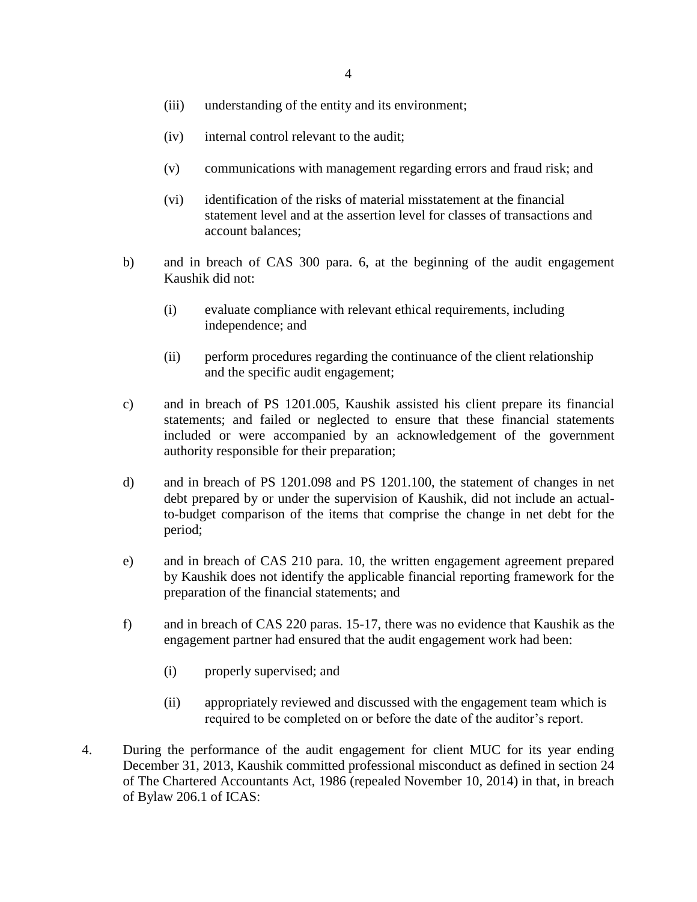- (iii) understanding of the entity and its environment;
- (iv) internal control relevant to the audit;
- (v) communications with management regarding errors and fraud risk; and
- (vi) identification of the risks of material misstatement at the financial statement level and at the assertion level for classes of transactions and account balances;
- b) and in breach of CAS 300 para. 6, at the beginning of the audit engagement Kaushik did not:
	- (i) evaluate compliance with relevant ethical requirements, including independence; and
	- (ii) perform procedures regarding the continuance of the client relationship and the specific audit engagement;
- c) and in breach of PS 1201.005, Kaushik assisted his client prepare its financial statements; and failed or neglected to ensure that these financial statements included or were accompanied by an acknowledgement of the government authority responsible for their preparation;
- d) and in breach of PS 1201.098 and PS 1201.100, the statement of changes in net debt prepared by or under the supervision of Kaushik, did not include an actualto-budget comparison of the items that comprise the change in net debt for the period;
- e) and in breach of CAS 210 para. 10, the written engagement agreement prepared by Kaushik does not identify the applicable financial reporting framework for the preparation of the financial statements; and
- f) and in breach of CAS 220 paras. 15-17, there was no evidence that Kaushik as the engagement partner had ensured that the audit engagement work had been:
	- (i) properly supervised; and
	- (ii) appropriately reviewed and discussed with the engagement team which is required to be completed on or before the date of the auditor's report.
- 4. During the performance of the audit engagement for client MUC for its year ending December 31, 2013, Kaushik committed professional misconduct as defined in section 24 of The Chartered Accountants Act, 1986 (repealed November 10, 2014) in that, in breach of Bylaw 206.1 of ICAS: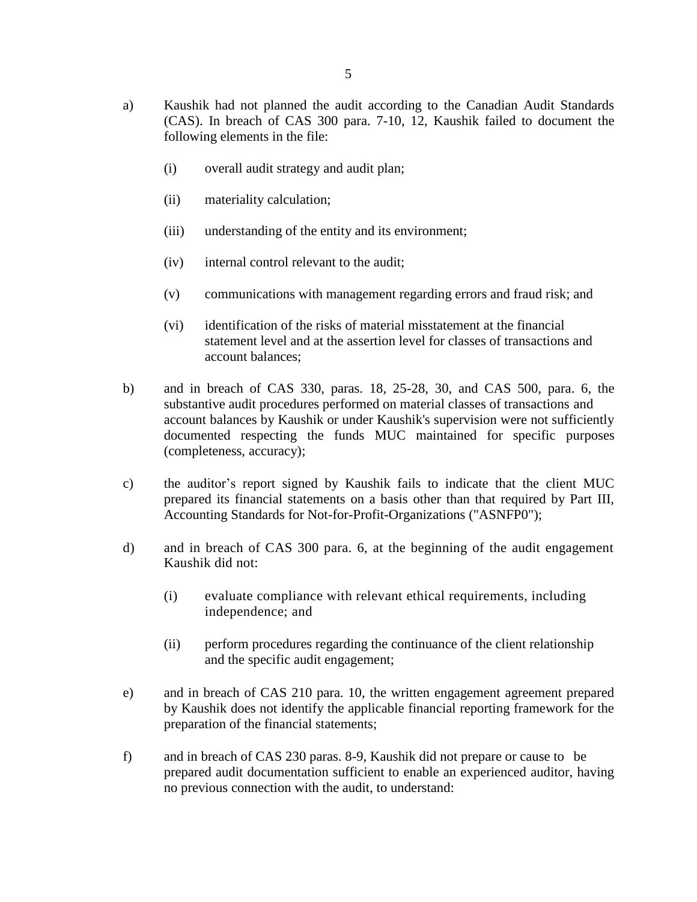- a) Kaushik had not planned the audit according to the Canadian Audit Standards (CAS). In breach of CAS 300 para. 7-10, 12, Kaushik failed to document the following elements in the file:
	- (i) overall audit strategy and audit plan;
	- (ii) materiality calculation;
	- (iii) understanding of the entity and its environment;
	- (iv) internal control relevant to the audit;
	- (v) communications with management regarding errors and fraud risk; and
	- (vi) identification of the risks of material misstatement at the financial statement level and at the assertion level for classes of transactions and account balances;
- b) and in breach of CAS 330, paras. 18, 25-28, 30, and CAS 500, para. 6, the substantive audit procedures performed on material classes of transactions and account balances by Kaushik or under Kaushik's supervision were not sufficiently documented respecting the funds MUC maintained for specific purposes (completeness, accuracy);
- c) the auditor's report signed by Kaushik fails to indicate that the client MUC prepared its financial statements on a basis other than that required by Part III, Accounting Standards for Not-for-Profit-Organizations ("ASNFP0");
- d) and in breach of CAS 300 para. 6, at the beginning of the audit engagement Kaushik did not:
	- (i) evaluate compliance with relevant ethical requirements, including independence; and
	- (ii) perform procedures regarding the continuance of the client relationship and the specific audit engagement;
- e) and in breach of CAS 210 para. 10, the written engagement agreement prepared by Kaushik does not identify the applicable financial reporting framework for the preparation of the financial statements;
- f) and in breach of CAS 230 paras. 8-9, Kaushik did not prepare or cause to be prepared audit documentation sufficient to enable an experienced auditor, having no previous connection with the audit, to understand: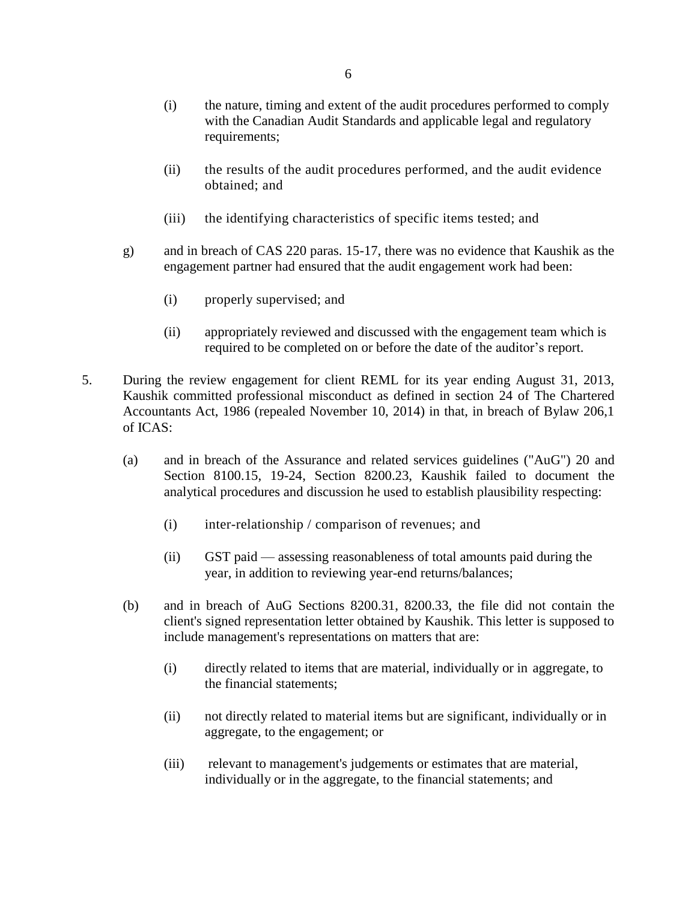- (i) the nature, timing and extent of the audit procedures performed to comply with the Canadian Audit Standards and applicable legal and regulatory requirements;
- (ii) the results of the audit procedures performed, and the audit evidence obtained; and
- (iii) the identifying characteristics of specific items tested; and
- g) and in breach of CAS 220 paras. 15-17, there was no evidence that Kaushik as the engagement partner had ensured that the audit engagement work had been:
	- (i) properly supervised; and
	- (ii) appropriately reviewed and discussed with the engagement team which is required to be completed on or before the date of the auditor's report.
- 5. During the review engagement for client REML for its year ending August 31, 2013, Kaushik committed professional misconduct as defined in section 24 of The Chartered Accountants Act, 1986 (repealed November 10, 2014) in that, in breach of Bylaw 206,1 of ICAS:
	- (a) and in breach of the Assurance and related services guidelines ("AuG") 20 and Section 8100.15, 19-24, Section 8200.23, Kaushik failed to document the analytical procedures and discussion he used to establish plausibility respecting:
		- (i) inter-relationship / comparison of revenues; and
		- (ii) GST paid assessing reasonableness of total amounts paid during the year, in addition to reviewing year-end returns/balances;
	- (b) and in breach of AuG Sections 8200.31, 8200.33, the file did not contain the client's signed representation letter obtained by Kaushik. This letter is supposed to include management's representations on matters that are:
		- (i) directly related to items that are material, individually or in aggregate, to the financial statements;
		- (ii) not directly related to material items but are significant, individually or in aggregate, to the engagement; or
		- (iii) relevant to management's judgements or estimates that are material, individually or in the aggregate, to the financial statements; and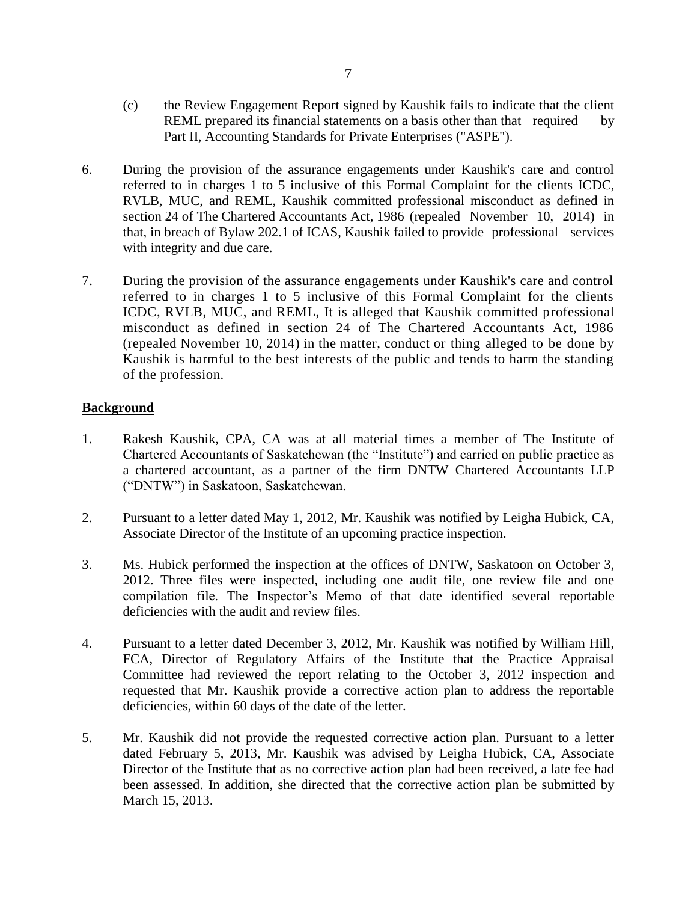- (c) the Review Engagement Report signed by Kaushik fails to indicate that the client REML prepared its financial statements on a basis other than that required by Part II, Accounting Standards for Private Enterprises ("ASPE").
- 6. During the provision of the assurance engagements under Kaushik's care and control referred to in charges 1 to 5 inclusive of this Formal Complaint for the clients ICDC, RVLB, MUC, and REML, Kaushik committed professional misconduct as defined in section 24 of The Chartered Accountants Act, 1986 (repealed November 10, 2014) in that, in breach of Bylaw 202.1 of ICAS, Kaushik failed to provide professional services with integrity and due care.
- 7. During the provision of the assurance engagements under Kaushik's care and control referred to in charges 1 to 5 inclusive of this Formal Complaint for the clients ICDC, RVLB, MUC, and REML, It is alleged that Kaushik committed professional misconduct as defined in section 24 of The Chartered Accountants Act, 1986 (repealed November 10, 2014) in the matter, conduct or thing alleged to be done by Kaushik is harmful to the best interests of the public and tends to harm the standing of the profession.

# **Background**

- 1. Rakesh Kaushik, CPA, CA was at all material times a member of The Institute of Chartered Accountants of Saskatchewan (the "Institute") and carried on public practice as a chartered accountant, as a partner of the firm DNTW Chartered Accountants LLP ("DNTW") in Saskatoon, Saskatchewan.
- 2. Pursuant to a letter dated May 1, 2012, Mr. Kaushik was notified by Leigha Hubick, CA, Associate Director of the Institute of an upcoming practice inspection.
- 3. Ms. Hubick performed the inspection at the offices of DNTW, Saskatoon on October 3, 2012. Three files were inspected, including one audit file, one review file and one compilation file. The Inspector's Memo of that date identified several reportable deficiencies with the audit and review files.
- 4. Pursuant to a letter dated December 3, 2012, Mr. Kaushik was notified by William Hill, FCA, Director of Regulatory Affairs of the Institute that the Practice Appraisal Committee had reviewed the report relating to the October 3, 2012 inspection and requested that Mr. Kaushik provide a corrective action plan to address the reportable deficiencies, within 60 days of the date of the letter.
- 5. Mr. Kaushik did not provide the requested corrective action plan. Pursuant to a letter dated February 5, 2013, Mr. Kaushik was advised by Leigha Hubick, CA, Associate Director of the Institute that as no corrective action plan had been received, a late fee had been assessed. In addition, she directed that the corrective action plan be submitted by March 15, 2013.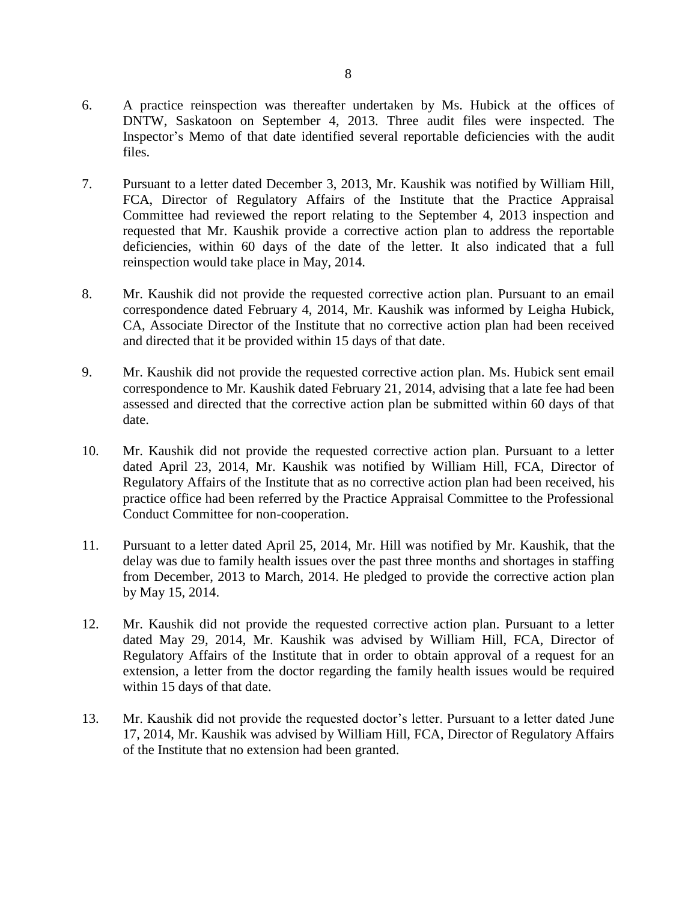- 6. A practice reinspection was thereafter undertaken by Ms. Hubick at the offices of DNTW, Saskatoon on September 4, 2013. Three audit files were inspected. The Inspector's Memo of that date identified several reportable deficiencies with the audit files.
- 7. Pursuant to a letter dated December 3, 2013, Mr. Kaushik was notified by William Hill, FCA, Director of Regulatory Affairs of the Institute that the Practice Appraisal Committee had reviewed the report relating to the September 4, 2013 inspection and requested that Mr. Kaushik provide a corrective action plan to address the reportable deficiencies, within 60 days of the date of the letter. It also indicated that a full reinspection would take place in May, 2014.
- 8. Mr. Kaushik did not provide the requested corrective action plan. Pursuant to an email correspondence dated February 4, 2014, Mr. Kaushik was informed by Leigha Hubick, CA, Associate Director of the Institute that no corrective action plan had been received and directed that it be provided within 15 days of that date.
- 9. Mr. Kaushik did not provide the requested corrective action plan. Ms. Hubick sent email correspondence to Mr. Kaushik dated February 21, 2014, advising that a late fee had been assessed and directed that the corrective action plan be submitted within 60 days of that date.
- 10. Mr. Kaushik did not provide the requested corrective action plan. Pursuant to a letter dated April 23, 2014, Mr. Kaushik was notified by William Hill, FCA, Director of Regulatory Affairs of the Institute that as no corrective action plan had been received, his practice office had been referred by the Practice Appraisal Committee to the Professional Conduct Committee for non-cooperation.
- 11. Pursuant to a letter dated April 25, 2014, Mr. Hill was notified by Mr. Kaushik, that the delay was due to family health issues over the past three months and shortages in staffing from December, 2013 to March, 2014. He pledged to provide the corrective action plan by May 15, 2014.
- 12. Mr. Kaushik did not provide the requested corrective action plan. Pursuant to a letter dated May 29, 2014, Mr. Kaushik was advised by William Hill, FCA, Director of Regulatory Affairs of the Institute that in order to obtain approval of a request for an extension, a letter from the doctor regarding the family health issues would be required within 15 days of that date.
- 13. Mr. Kaushik did not provide the requested doctor's letter. Pursuant to a letter dated June 17, 2014, Mr. Kaushik was advised by William Hill, FCA, Director of Regulatory Affairs of the Institute that no extension had been granted.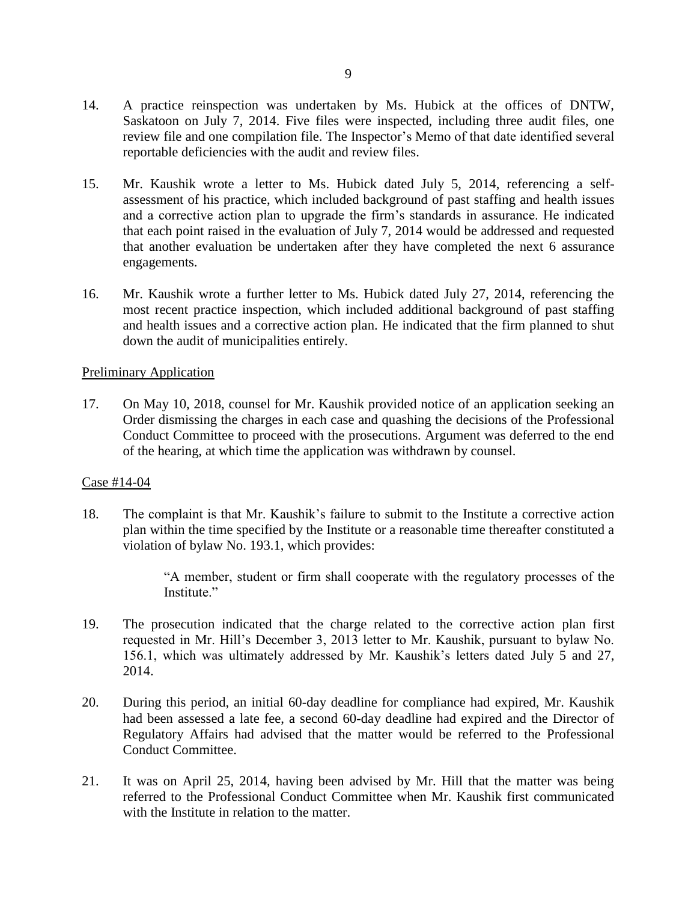- 14. A practice reinspection was undertaken by Ms. Hubick at the offices of DNTW, Saskatoon on July 7, 2014. Five files were inspected, including three audit files, one review file and one compilation file. The Inspector's Memo of that date identified several reportable deficiencies with the audit and review files.
- 15. Mr. Kaushik wrote a letter to Ms. Hubick dated July 5, 2014, referencing a selfassessment of his practice, which included background of past staffing and health issues and a corrective action plan to upgrade the firm's standards in assurance. He indicated that each point raised in the evaluation of July 7, 2014 would be addressed and requested that another evaluation be undertaken after they have completed the next 6 assurance engagements.
- 16. Mr. Kaushik wrote a further letter to Ms. Hubick dated July 27, 2014, referencing the most recent practice inspection, which included additional background of past staffing and health issues and a corrective action plan. He indicated that the firm planned to shut down the audit of municipalities entirely.

#### Preliminary Application

17. On May 10, 2018, counsel for Mr. Kaushik provided notice of an application seeking an Order dismissing the charges in each case and quashing the decisions of the Professional Conduct Committee to proceed with the prosecutions. Argument was deferred to the end of the hearing, at which time the application was withdrawn by counsel.

#### Case #14-04

18. The complaint is that Mr. Kaushik's failure to submit to the Institute a corrective action plan within the time specified by the Institute or a reasonable time thereafter constituted a violation of bylaw No. 193.1, which provides:

> "A member, student or firm shall cooperate with the regulatory processes of the Institute."

- 19. The prosecution indicated that the charge related to the corrective action plan first requested in Mr. Hill's December 3, 2013 letter to Mr. Kaushik, pursuant to bylaw No. 156.1, which was ultimately addressed by Mr. Kaushik's letters dated July 5 and 27, 2014.
- 20. During this period, an initial 60-day deadline for compliance had expired, Mr. Kaushik had been assessed a late fee, a second 60-day deadline had expired and the Director of Regulatory Affairs had advised that the matter would be referred to the Professional Conduct Committee.
- 21. It was on April 25, 2014, having been advised by Mr. Hill that the matter was being referred to the Professional Conduct Committee when Mr. Kaushik first communicated with the Institute in relation to the matter.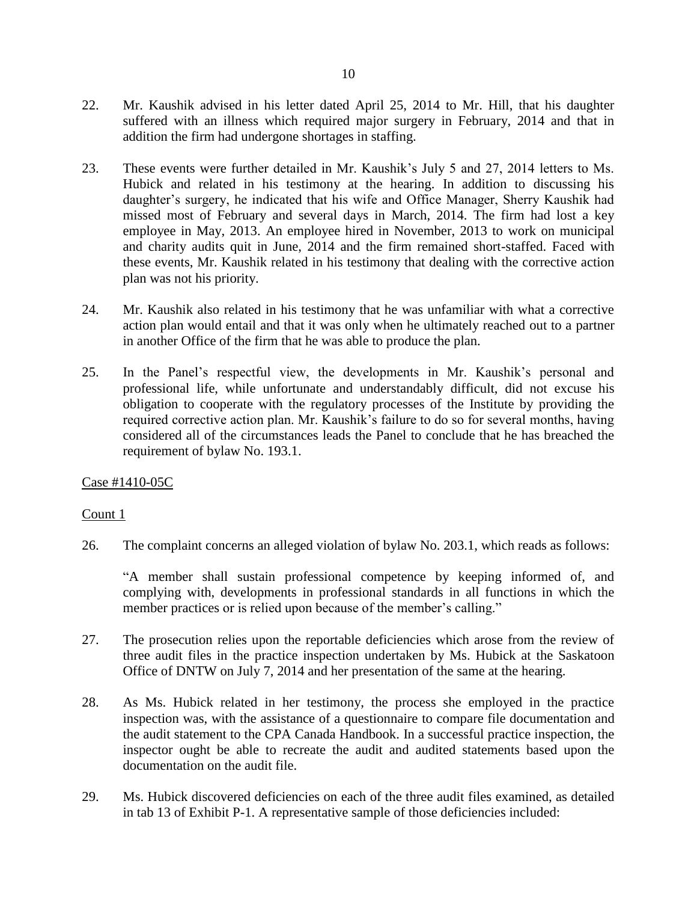- 22. Mr. Kaushik advised in his letter dated April 25, 2014 to Mr. Hill, that his daughter suffered with an illness which required major surgery in February, 2014 and that in addition the firm had undergone shortages in staffing.
- 23. These events were further detailed in Mr. Kaushik's July 5 and 27, 2014 letters to Ms. Hubick and related in his testimony at the hearing. In addition to discussing his daughter's surgery, he indicated that his wife and Office Manager, Sherry Kaushik had missed most of February and several days in March, 2014. The firm had lost a key employee in May, 2013. An employee hired in November, 2013 to work on municipal and charity audits quit in June, 2014 and the firm remained short-staffed. Faced with these events, Mr. Kaushik related in his testimony that dealing with the corrective action plan was not his priority.
- 24. Mr. Kaushik also related in his testimony that he was unfamiliar with what a corrective action plan would entail and that it was only when he ultimately reached out to a partner in another Office of the firm that he was able to produce the plan.
- 25. In the Panel's respectful view, the developments in Mr. Kaushik's personal and professional life, while unfortunate and understandably difficult, did not excuse his obligation to cooperate with the regulatory processes of the Institute by providing the required corrective action plan. Mr. Kaushik's failure to do so for several months, having considered all of the circumstances leads the Panel to conclude that he has breached the requirement of bylaw No. 193.1.

## Case #1410-05C

## Count 1

26. The complaint concerns an alleged violation of bylaw No. 203.1, which reads as follows:

"A member shall sustain professional competence by keeping informed of, and complying with, developments in professional standards in all functions in which the member practices or is relied upon because of the member's calling."

- 27. The prosecution relies upon the reportable deficiencies which arose from the review of three audit files in the practice inspection undertaken by Ms. Hubick at the Saskatoon Office of DNTW on July 7, 2014 and her presentation of the same at the hearing.
- 28. As Ms. Hubick related in her testimony, the process she employed in the practice inspection was, with the assistance of a questionnaire to compare file documentation and the audit statement to the CPA Canada Handbook. In a successful practice inspection, the inspector ought be able to recreate the audit and audited statements based upon the documentation on the audit file.
- 29. Ms. Hubick discovered deficiencies on each of the three audit files examined, as detailed in tab 13 of Exhibit P-1. A representative sample of those deficiencies included: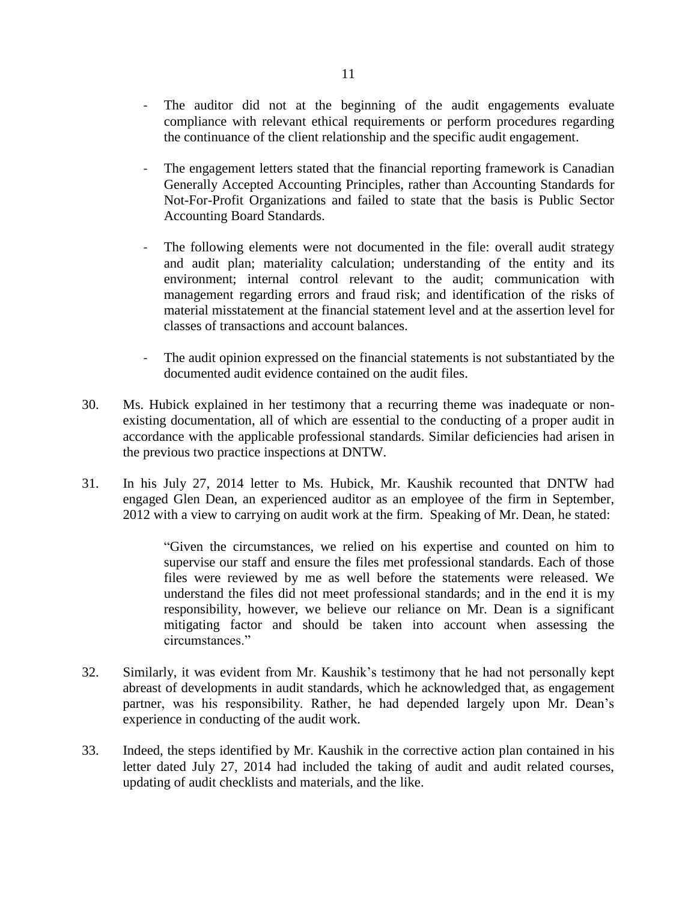- The auditor did not at the beginning of the audit engagements evaluate compliance with relevant ethical requirements or perform procedures regarding the continuance of the client relationship and the specific audit engagement.
- The engagement letters stated that the financial reporting framework is Canadian Generally Accepted Accounting Principles, rather than Accounting Standards for Not-For-Profit Organizations and failed to state that the basis is Public Sector Accounting Board Standards.
- The following elements were not documented in the file: overall audit strategy and audit plan; materiality calculation; understanding of the entity and its environment; internal control relevant to the audit; communication with management regarding errors and fraud risk; and identification of the risks of material misstatement at the financial statement level and at the assertion level for classes of transactions and account balances.
- The audit opinion expressed on the financial statements is not substantiated by the documented audit evidence contained on the audit files.
- 30. Ms. Hubick explained in her testimony that a recurring theme was inadequate or nonexisting documentation, all of which are essential to the conducting of a proper audit in accordance with the applicable professional standards. Similar deficiencies had arisen in the previous two practice inspections at DNTW.
- 31. In his July 27, 2014 letter to Ms. Hubick, Mr. Kaushik recounted that DNTW had engaged Glen Dean, an experienced auditor as an employee of the firm in September, 2012 with a view to carrying on audit work at the firm. Speaking of Mr. Dean, he stated:

"Given the circumstances, we relied on his expertise and counted on him to supervise our staff and ensure the files met professional standards. Each of those files were reviewed by me as well before the statements were released. We understand the files did not meet professional standards; and in the end it is my responsibility, however, we believe our reliance on Mr. Dean is a significant mitigating factor and should be taken into account when assessing the circumstances."

- 32. Similarly, it was evident from Mr. Kaushik's testimony that he had not personally kept abreast of developments in audit standards, which he acknowledged that, as engagement partner, was his responsibility. Rather, he had depended largely upon Mr. Dean's experience in conducting of the audit work.
- 33. Indeed, the steps identified by Mr. Kaushik in the corrective action plan contained in his letter dated July 27, 2014 had included the taking of audit and audit related courses, updating of audit checklists and materials, and the like.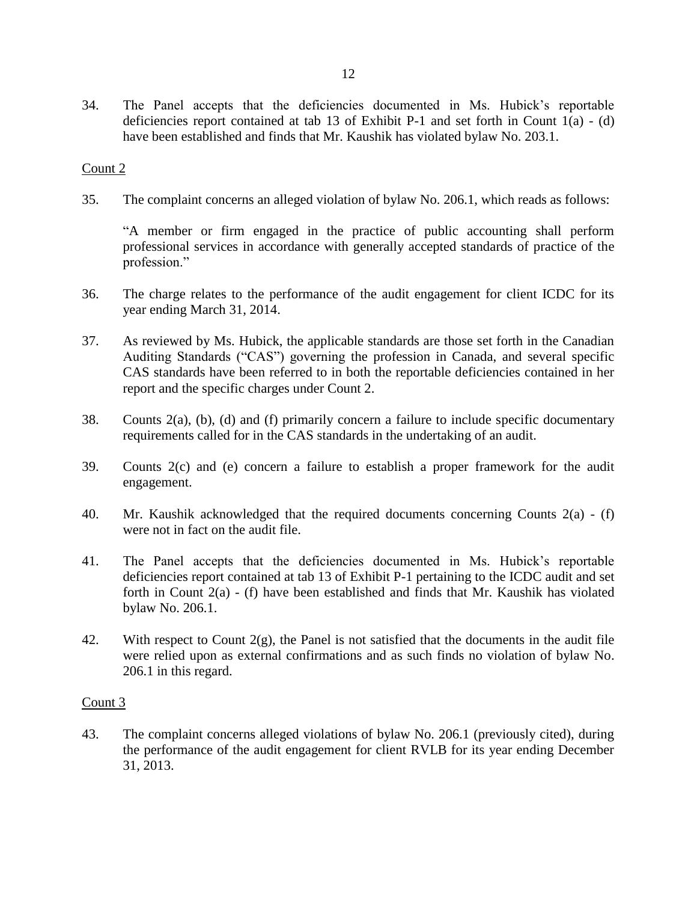34. The Panel accepts that the deficiencies documented in Ms. Hubick's reportable deficiencies report contained at tab 13 of Exhibit P-1 and set forth in Count  $1(a) - (d)$ have been established and finds that Mr. Kaushik has violated bylaw No. 203.1.

## Count 2

35. The complaint concerns an alleged violation of bylaw No. 206.1, which reads as follows:

"A member or firm engaged in the practice of public accounting shall perform professional services in accordance with generally accepted standards of practice of the profession."

- 36. The charge relates to the performance of the audit engagement for client ICDC for its year ending March 31, 2014.
- 37. As reviewed by Ms. Hubick, the applicable standards are those set forth in the Canadian Auditing Standards ("CAS") governing the profession in Canada, and several specific CAS standards have been referred to in both the reportable deficiencies contained in her report and the specific charges under Count 2.
- 38. Counts 2(a), (b), (d) and (f) primarily concern a failure to include specific documentary requirements called for in the CAS standards in the undertaking of an audit.
- 39. Counts 2(c) and (e) concern a failure to establish a proper framework for the audit engagement.
- 40. Mr. Kaushik acknowledged that the required documents concerning Counts 2(a) (f) were not in fact on the audit file.
- 41. The Panel accepts that the deficiencies documented in Ms. Hubick's reportable deficiencies report contained at tab 13 of Exhibit P-1 pertaining to the ICDC audit and set forth in Count 2(a) - (f) have been established and finds that Mr. Kaushik has violated bylaw No. 206.1.
- 42. With respect to Count 2(g), the Panel is not satisfied that the documents in the audit file were relied upon as external confirmations and as such finds no violation of bylaw No. 206.1 in this regard.

#### Count 3

43. The complaint concerns alleged violations of bylaw No. 206.1 (previously cited), during the performance of the audit engagement for client RVLB for its year ending December 31, 2013.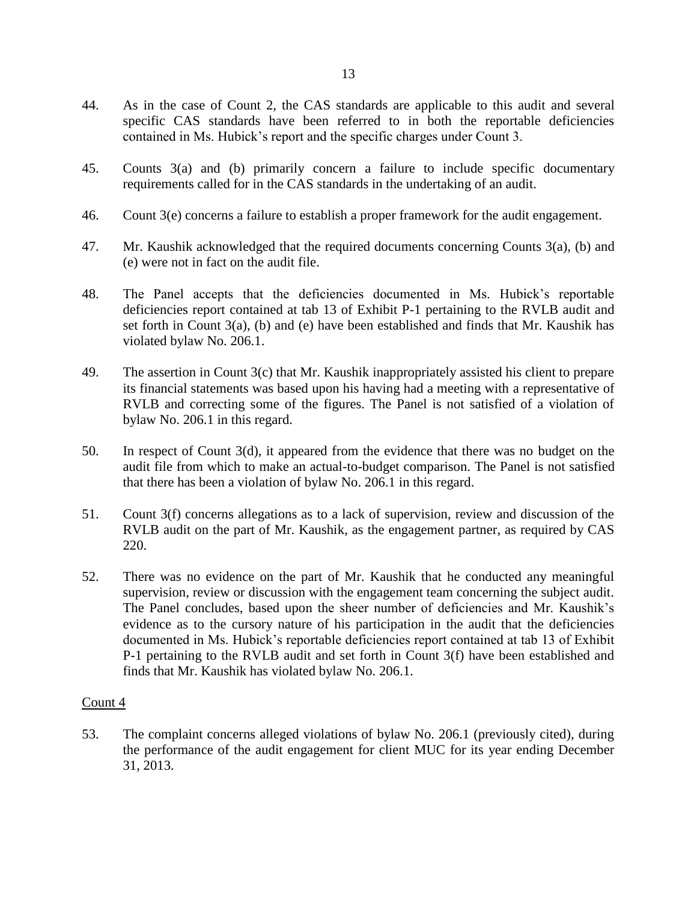- 44. As in the case of Count 2, the CAS standards are applicable to this audit and several specific CAS standards have been referred to in both the reportable deficiencies contained in Ms. Hubick's report and the specific charges under Count 3.
- 45. Counts 3(a) and (b) primarily concern a failure to include specific documentary requirements called for in the CAS standards in the undertaking of an audit.
- 46. Count 3(e) concerns a failure to establish a proper framework for the audit engagement.
- 47. Mr. Kaushik acknowledged that the required documents concerning Counts 3(a), (b) and (e) were not in fact on the audit file.
- 48. The Panel accepts that the deficiencies documented in Ms. Hubick's reportable deficiencies report contained at tab 13 of Exhibit P-1 pertaining to the RVLB audit and set forth in Count 3(a), (b) and (e) have been established and finds that Mr. Kaushik has violated bylaw No. 206.1.
- 49. The assertion in Count 3(c) that Mr. Kaushik inappropriately assisted his client to prepare its financial statements was based upon his having had a meeting with a representative of RVLB and correcting some of the figures. The Panel is not satisfied of a violation of bylaw No. 206.1 in this regard.
- 50. In respect of Count 3(d), it appeared from the evidence that there was no budget on the audit file from which to make an actual-to-budget comparison. The Panel is not satisfied that there has been a violation of bylaw No. 206.1 in this regard.
- 51. Count 3(f) concerns allegations as to a lack of supervision, review and discussion of the RVLB audit on the part of Mr. Kaushik, as the engagement partner, as required by CAS 220.
- 52. There was no evidence on the part of Mr. Kaushik that he conducted any meaningful supervision, review or discussion with the engagement team concerning the subject audit. The Panel concludes, based upon the sheer number of deficiencies and Mr. Kaushik's evidence as to the cursory nature of his participation in the audit that the deficiencies documented in Ms. Hubick's reportable deficiencies report contained at tab 13 of Exhibit P-1 pertaining to the RVLB audit and set forth in Count 3(f) have been established and finds that Mr. Kaushik has violated bylaw No. 206.1.

53. The complaint concerns alleged violations of bylaw No. 206.1 (previously cited), during the performance of the audit engagement for client MUC for its year ending December 31, 2013.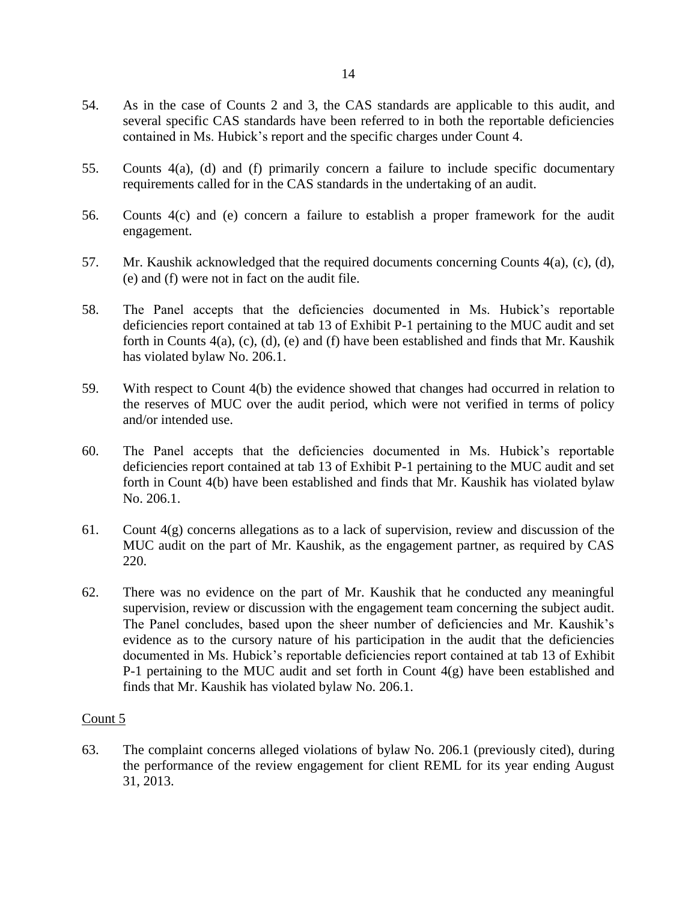- 54. As in the case of Counts 2 and 3, the CAS standards are applicable to this audit, and several specific CAS standards have been referred to in both the reportable deficiencies contained in Ms. Hubick's report and the specific charges under Count 4.
- 55. Counts 4(a), (d) and (f) primarily concern a failure to include specific documentary requirements called for in the CAS standards in the undertaking of an audit.
- 56. Counts 4(c) and (e) concern a failure to establish a proper framework for the audit engagement.
- 57. Mr. Kaushik acknowledged that the required documents concerning Counts 4(a), (c), (d), (e) and (f) were not in fact on the audit file.
- 58. The Panel accepts that the deficiencies documented in Ms. Hubick's reportable deficiencies report contained at tab 13 of Exhibit P-1 pertaining to the MUC audit and set forth in Counts 4(a), (c), (d), (e) and (f) have been established and finds that Mr. Kaushik has violated bylaw No. 206.1.
- 59. With respect to Count 4(b) the evidence showed that changes had occurred in relation to the reserves of MUC over the audit period, which were not verified in terms of policy and/or intended use.
- 60. The Panel accepts that the deficiencies documented in Ms. Hubick's reportable deficiencies report contained at tab 13 of Exhibit P-1 pertaining to the MUC audit and set forth in Count 4(b) have been established and finds that Mr. Kaushik has violated bylaw No. 206.1.
- 61. Count  $4(g)$  concerns allegations as to a lack of supervision, review and discussion of the MUC audit on the part of Mr. Kaushik, as the engagement partner, as required by CAS 220.
- 62. There was no evidence on the part of Mr. Kaushik that he conducted any meaningful supervision, review or discussion with the engagement team concerning the subject audit. The Panel concludes, based upon the sheer number of deficiencies and Mr. Kaushik's evidence as to the cursory nature of his participation in the audit that the deficiencies documented in Ms. Hubick's reportable deficiencies report contained at tab 13 of Exhibit P-1 pertaining to the MUC audit and set forth in Count  $4(g)$  have been established and finds that Mr. Kaushik has violated bylaw No. 206.1.

63. The complaint concerns alleged violations of bylaw No. 206.1 (previously cited), during the performance of the review engagement for client REML for its year ending August 31, 2013.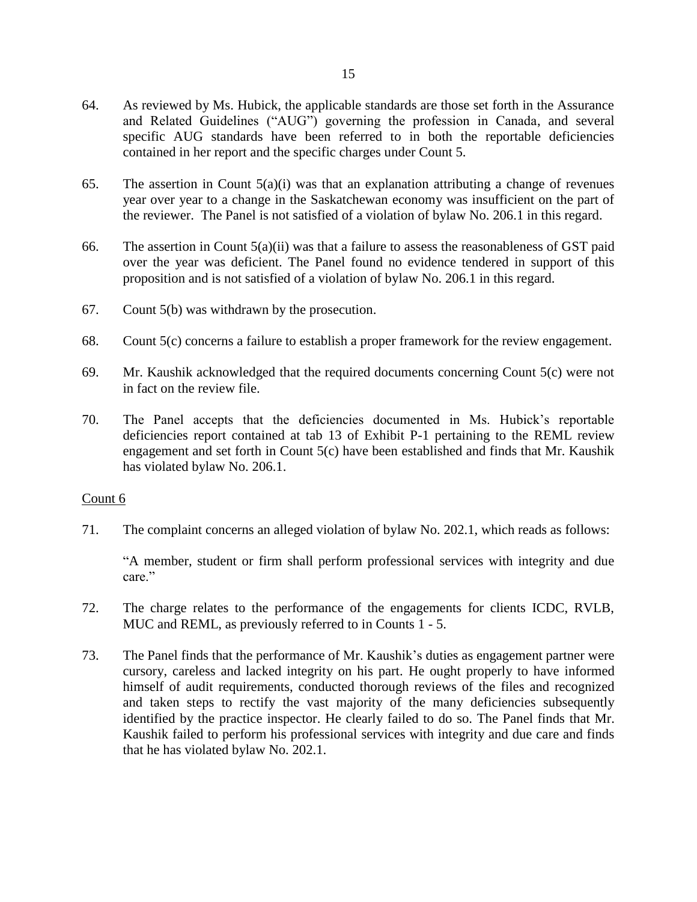- 64. As reviewed by Ms. Hubick, the applicable standards are those set forth in the Assurance and Related Guidelines ("AUG") governing the profession in Canada, and several specific AUG standards have been referred to in both the reportable deficiencies contained in her report and the specific charges under Count 5.
- 65. The assertion in Count  $5(a)(i)$  was that an explanation attributing a change of revenues year over year to a change in the Saskatchewan economy was insufficient on the part of the reviewer. The Panel is not satisfied of a violation of bylaw No. 206.1 in this regard.
- 66. The assertion in Count  $5(a)(ii)$  was that a failure to assess the reasonableness of GST paid over the year was deficient. The Panel found no evidence tendered in support of this proposition and is not satisfied of a violation of bylaw No. 206.1 in this regard.
- 67. Count 5(b) was withdrawn by the prosecution.
- 68. Count 5(c) concerns a failure to establish a proper framework for the review engagement.
- 69. Mr. Kaushik acknowledged that the required documents concerning Count 5(c) were not in fact on the review file.
- 70. The Panel accepts that the deficiencies documented in Ms. Hubick's reportable deficiencies report contained at tab 13 of Exhibit P-1 pertaining to the REML review engagement and set forth in Count 5(c) have been established and finds that Mr. Kaushik has violated bylaw No. 206.1.

71. The complaint concerns an alleged violation of bylaw No. 202.1, which reads as follows:

"A member, student or firm shall perform professional services with integrity and due care."

- 72. The charge relates to the performance of the engagements for clients ICDC, RVLB, MUC and REML, as previously referred to in Counts 1 - 5.
- 73. The Panel finds that the performance of Mr. Kaushik's duties as engagement partner were cursory, careless and lacked integrity on his part. He ought properly to have informed himself of audit requirements, conducted thorough reviews of the files and recognized and taken steps to rectify the vast majority of the many deficiencies subsequently identified by the practice inspector. He clearly failed to do so. The Panel finds that Mr. Kaushik failed to perform his professional services with integrity and due care and finds that he has violated bylaw No. 202.1.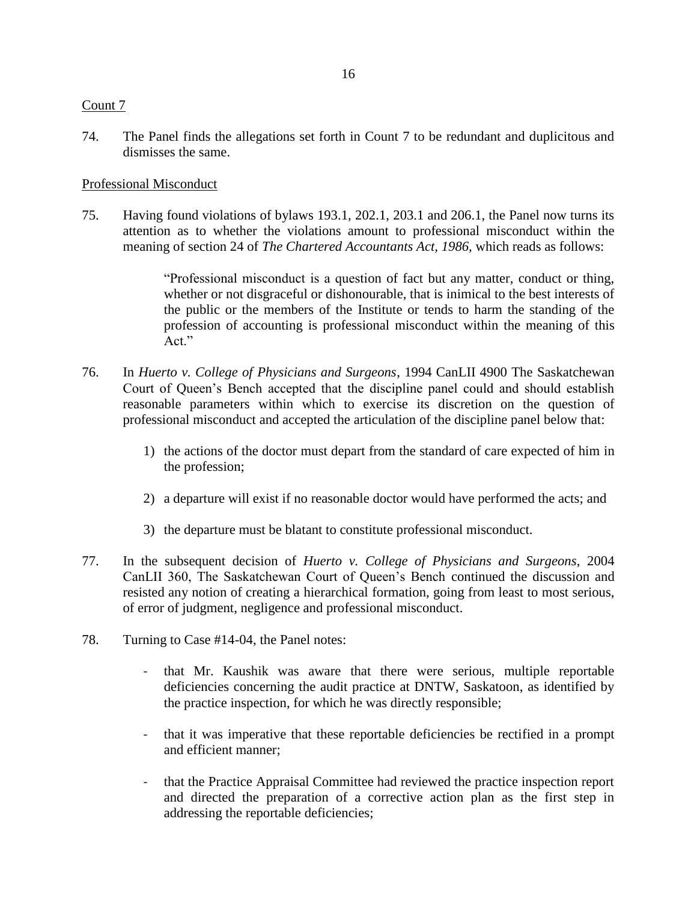74. The Panel finds the allegations set forth in Count 7 to be redundant and duplicitous and dismisses the same.

## Professional Misconduct

75. Having found violations of bylaws 193.1, 202.1, 203.1 and 206.1, the Panel now turns its attention as to whether the violations amount to professional misconduct within the meaning of section 24 of *The Chartered Accountants Act, 1986,* which reads as follows:

> "Professional misconduct is a question of fact but any matter, conduct or thing, whether or not disgraceful or dishonourable, that is inimical to the best interests of the public or the members of the Institute or tends to harm the standing of the profession of accounting is professional misconduct within the meaning of this Act."

- 76. In *Huerto v. College of Physicians and Surgeons*, 1994 CanLII 4900 The Saskatchewan Court of Queen's Bench accepted that the discipline panel could and should establish reasonable parameters within which to exercise its discretion on the question of professional misconduct and accepted the articulation of the discipline panel below that:
	- 1) the actions of the doctor must depart from the standard of care expected of him in the profession;
	- 2) a departure will exist if no reasonable doctor would have performed the acts; and
	- 3) the departure must be blatant to constitute professional misconduct.
- 77. In the subsequent decision of *Huerto v. College of Physicians and Surgeons*, 2004 CanLII 360, The Saskatchewan Court of Queen's Bench continued the discussion and resisted any notion of creating a hierarchical formation, going from least to most serious, of error of judgment, negligence and professional misconduct.
- 78. Turning to Case #14-04, the Panel notes:
	- that Mr. Kaushik was aware that there were serious, multiple reportable deficiencies concerning the audit practice at DNTW, Saskatoon, as identified by the practice inspection, for which he was directly responsible;
	- that it was imperative that these reportable deficiencies be rectified in a prompt and efficient manner;
	- that the Practice Appraisal Committee had reviewed the practice inspection report and directed the preparation of a corrective action plan as the first step in addressing the reportable deficiencies;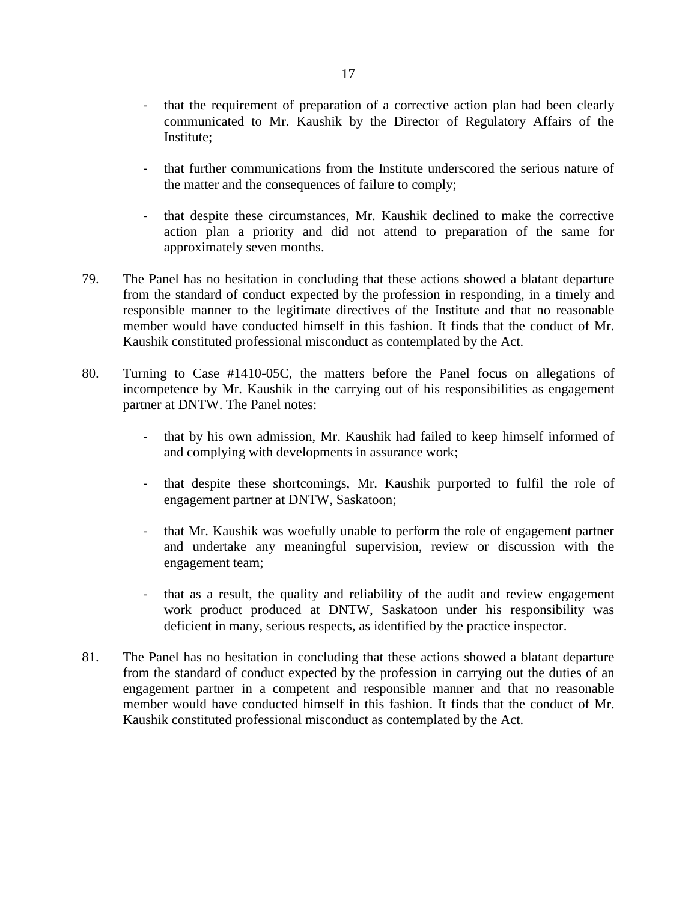- that the requirement of preparation of a corrective action plan had been clearly communicated to Mr. Kaushik by the Director of Regulatory Affairs of the Institute;
- that further communications from the Institute underscored the serious nature of the matter and the consequences of failure to comply;
- that despite these circumstances, Mr. Kaushik declined to make the corrective action plan a priority and did not attend to preparation of the same for approximately seven months.
- 79. The Panel has no hesitation in concluding that these actions showed a blatant departure from the standard of conduct expected by the profession in responding, in a timely and responsible manner to the legitimate directives of the Institute and that no reasonable member would have conducted himself in this fashion. It finds that the conduct of Mr. Kaushik constituted professional misconduct as contemplated by the Act.
- 80. Turning to Case #1410-05C, the matters before the Panel focus on allegations of incompetence by Mr. Kaushik in the carrying out of his responsibilities as engagement partner at DNTW. The Panel notes:
	- that by his own admission, Mr. Kaushik had failed to keep himself informed of and complying with developments in assurance work;
	- that despite these shortcomings, Mr. Kaushik purported to fulfil the role of engagement partner at DNTW, Saskatoon;
	- that Mr. Kaushik was woefully unable to perform the role of engagement partner and undertake any meaningful supervision, review or discussion with the engagement team;
	- that as a result, the quality and reliability of the audit and review engagement work product produced at DNTW, Saskatoon under his responsibility was deficient in many, serious respects, as identified by the practice inspector.
- 81. The Panel has no hesitation in concluding that these actions showed a blatant departure from the standard of conduct expected by the profession in carrying out the duties of an engagement partner in a competent and responsible manner and that no reasonable member would have conducted himself in this fashion. It finds that the conduct of Mr. Kaushik constituted professional misconduct as contemplated by the Act.